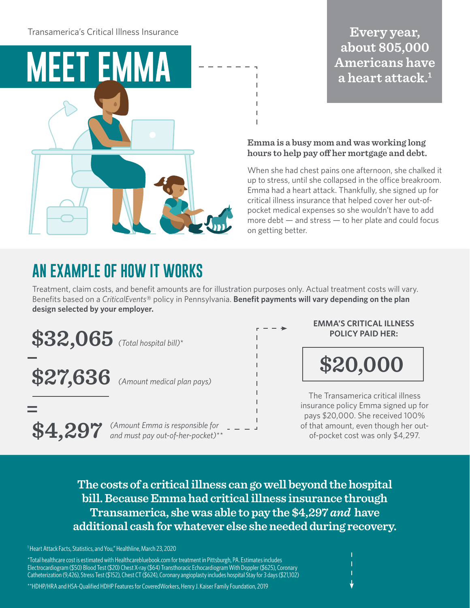Transamerica's Critical Illness Insurance



## Every year, about 805,000 **Americans have** a heart attack.<sup>1</sup>

#### **Emma is a busy mom and was working long hours to help pay off her mortgage and debt.**

When she had chest pains one afternoon, she chalked it up to stress, until she collapsed in the office breakroom. Emma had a heart attack. Thankfully, she signed up for critical illness insurance that helped cover her out-ofpocket medical expenses so she wouldn't have to add more debt  $-$  and stress  $-$  to her plate and could focus on getting better.

## **AN EXAMPLE OF HOW IT WORKS**

Treatment, claim costs, and benefit amounts are for illustration purposes only. Actual treatment costs will vary. Benefits based on a *CriticalEvents*® policy in Pennsylvania. **Benefit payments will vary depending on the plan design selected by your employer.**

 $$32,065$  (Total hospital bill)\*

**\$27,636** *(Amount medical plan pays)*

*(Amount Emma is responsible for*  \$4,297 (Amount Emma is responsible for and must pay out-of-her-pocket)\*\* **EMMA'S CRITICAL ILLNESS POLICY PAID HER:**

**\$20,000**

The Transamerica critical illness insurance policy Emma signed up for pays \$20,000. She received 100% of that amount, even though her outof-pocket cost was only \$4,297.

**The costs of a critical illness can go well beyond the hospital bill. Because Emma had critical illness insurance through Transamerica, she was able to pay the \$4,297** *and* **have additional cash for whatever else she needed during recovery.**

<sup>1</sup> Heart Attack Facts, Statistics, and You," Healthline, March 23, 2020

\*Total healthcare cost is estimated with Healthcarebluebook.com for treatment in Pittsburgh, PA. Estimates includes Electrocardiogram (\$50) Blood Test (\$20) Chest X-ray (\$64) Transthoracic Echocardiogram With Doppler (\$625), Coronary Catheterization (9,426), Stress Test (\$152), Chest CT (\$624), Coronary angioplasty includes hospital Stay for 3 days (\$21,102)

\*\*HDHP/HRA and HSA-Qualified HDHP Features for CoveredWorkers, Henry J. Kaiser Family Foundation, 2019